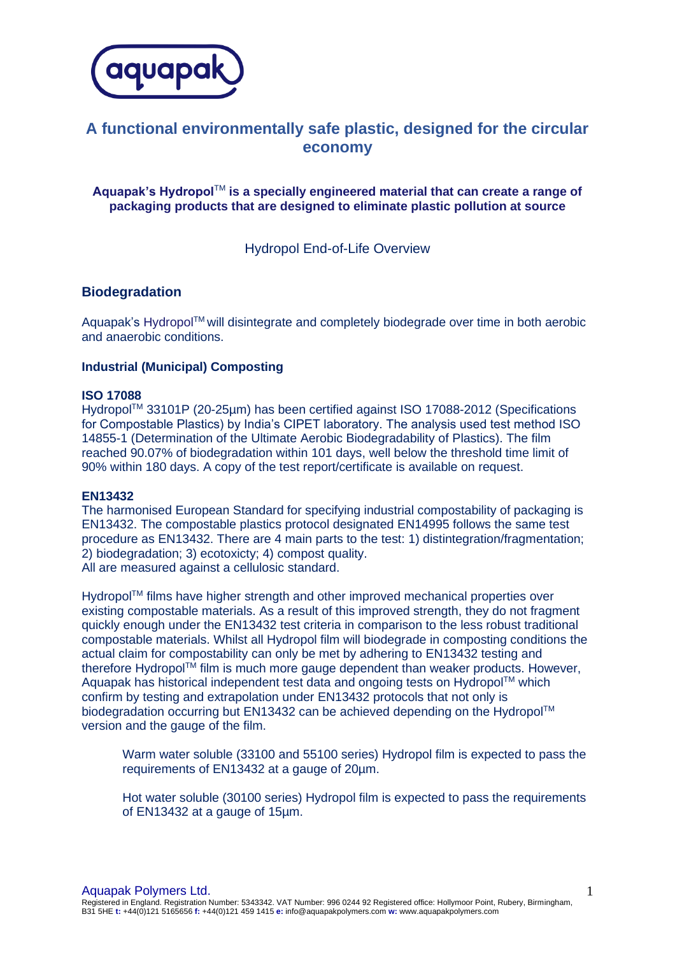

# **A functional environmentally safe plastic, designed for the circular economy**

**Aquapak's Hydropol**TM **is a specially engineered material that can create a range of packaging products that are designed to eliminate plastic pollution at source**

Hydropol End-of-Life Overview

# **Biodegradation**

Aquapak's Hydropol™ will disintegrate and completely biodegrade over time in both aerobic and anaerobic conditions.

## **Industrial (Municipal) Composting**

#### **ISO 17088**

HydropolTM 33101P (20-25µm) has been certified against ISO 17088-2012 (Specifications for Compostable Plastics) by India's CIPET laboratory. The analysis used test method ISO 14855-1 (Determination of the Ultimate Aerobic Biodegradability of Plastics). The film reached 90.07% of biodegradation within 101 days, well below the threshold time limit of 90% within 180 days. A copy of the test report/certificate is available on request.

#### **EN13432**

The harmonised European Standard for specifying industrial compostability of packaging is EN13432. The compostable plastics protocol designated EN14995 follows the same test procedure as EN13432. There are 4 main parts to the test: 1) distintegration/fragmentation; 2) biodegradation; 3) ecotoxicty; 4) compost quality. All are measured against a cellulosic standard.

Hydropol™ films have higher strength and other improved mechanical properties over existing compostable materials. As a result of this improved strength, they do not fragment quickly enough under the EN13432 test criteria in comparison to the less robust traditional compostable materials. Whilst all Hydropol film will biodegrade in composting conditions the actual claim for compostability can only be met by adhering to EN13432 testing and therefore Hydropol™ film is much more gauge dependent than weaker products. However, Aquapak has historical independent test data and ongoing tests on Hydropol™ which confirm by testing and extrapolation under EN13432 protocols that not only is biodegradation occurring but EN13432 can be achieved depending on the Hydropol™ version and the gauge of the film.

Warm water soluble (33100 and 55100 series) Hydropol film is expected to pass the requirements of EN13432 at a gauge of 20µm.

Hot water soluble (30100 series) Hydropol film is expected to pass the requirements of EN13432 at a gauge of 15µm.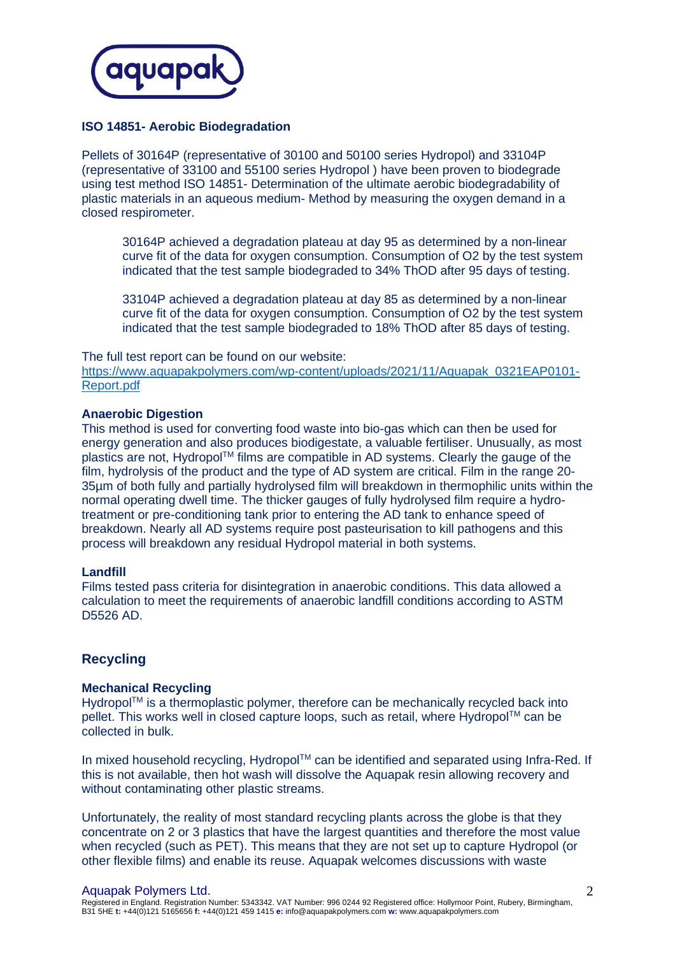

## **ISO 14851- Aerobic Biodegradation**

Pellets of 30164P (representative of 30100 and 50100 series Hydropol) and 33104P (representative of 33100 and 55100 series Hydropol ) have been proven to biodegrade using test method ISO 14851- Determination of the ultimate aerobic biodegradability of plastic materials in an aqueous medium- Method by measuring the oxygen demand in a closed respirometer.

30164P achieved a degradation plateau at day 95 as determined by a non-linear curve fit of the data for oxygen consumption. Consumption of O2 by the test system indicated that the test sample biodegraded to 34% ThOD after 95 days of testing.

33104P achieved a degradation plateau at day 85 as determined by a non-linear curve fit of the data for oxygen consumption. Consumption of O2 by the test system indicated that the test sample biodegraded to 18% ThOD after 85 days of testing.

#### The full test report can be found on our website:

[https://www.aquapakpolymers.com/wp-content/uploads/2021/11/Aquapak\\_0321EAP0101-](https://www.aquapakpolymers.com/wp-content/uploads/2021/11/Aquapak_0321EAP0101-Report.pdf) [Report.pdf](https://www.aquapakpolymers.com/wp-content/uploads/2021/11/Aquapak_0321EAP0101-Report.pdf)

#### **Anaerobic Digestion**

This method is used for converting food waste into bio-gas which can then be used for energy generation and also produces biodigestate, a valuable fertiliser. Unusually, as most plastics are not, Hydropol™ films are compatible in AD systems. Clearly the gauge of the film, hydrolysis of the product and the type of AD system are critical. Film in the range 20- 35µm of both fully and partially hydrolysed film will breakdown in thermophilic units within the normal operating dwell time. The thicker gauges of fully hydrolysed film require a hydrotreatment or pre-conditioning tank prior to entering the AD tank to enhance speed of breakdown. Nearly all AD systems require post pasteurisation to kill pathogens and this process will breakdown any residual Hydropol material in both systems.

#### **Landfill**

Films tested pass criteria for disintegration in anaerobic conditions. This data allowed a calculation to meet the requirements of anaerobic landfill conditions according to ASTM D5526 AD.

## **Recycling**

### **Mechanical Recycling**

Hydropol™ is a thermoplastic polymer, therefore can be mechanically recycled back into pellet. This works well in closed capture loops, such as retail, where HydropolTM can be collected in bulk.

In mixed household recycling, Hydropol™ can be identified and separated using Infra-Red. If this is not available, then hot wash will dissolve the Aquapak resin allowing recovery and without contaminating other plastic streams.

Unfortunately, the reality of most standard recycling plants across the globe is that they concentrate on 2 or 3 plastics that have the largest quantities and therefore the most value when recycled (such as PET). This means that they are not set up to capture Hydropol (or other flexible films) and enable its reuse. Aquapak welcomes discussions with waste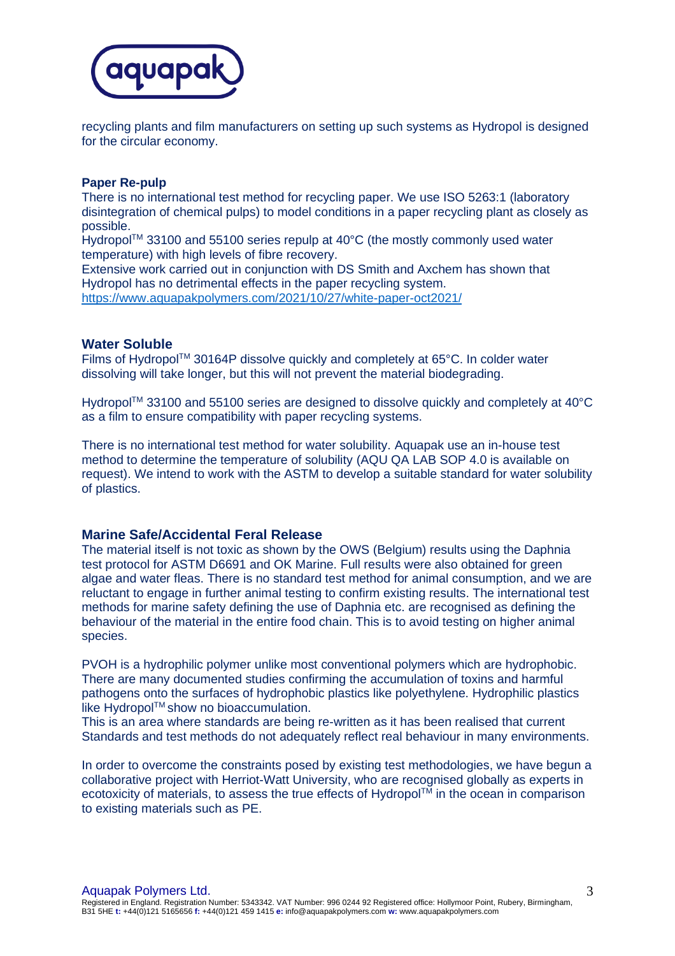

recycling plants and film manufacturers on setting up such systems as Hydropol is designed for the circular economy.

#### **Paper Re-pulp**

There is no international test method for recycling paper. We use ISO 5263:1 (laboratory disintegration of chemical pulps) to model conditions in a paper recycling plant as closely as possible.

Hydropol<sup>TM</sup> 33100 and 55100 series repulp at  $40^{\circ}$ C (the mostly commonly used water temperature) with high levels of fibre recovery.

Extensive work carried out in conjunction with DS Smith and Axchem has shown that Hydropol has no detrimental effects in the paper recycling system. <https://www.aquapakpolymers.com/2021/10/27/white-paper-oct2021/>

## **Water Soluble**

Films of Hydropol™ 30164P dissolve quickly and completely at 65°C. In colder water dissolving will take longer, but this will not prevent the material biodegrading.

Hydropol<sup>TM</sup> 33100 and 55100 series are designed to dissolve quickly and completely at 40°C as a film to ensure compatibility with paper recycling systems.

There is no international test method for water solubility. Aquapak use an in-house test method to determine the temperature of solubility (AQU QA LAB SOP 4.0 is available on request). We intend to work with the ASTM to develop a suitable standard for water solubility of plastics.

## **Marine Safe/Accidental Feral Release**

The material itself is not toxic as shown by the OWS (Belgium) results using the Daphnia test protocol for ASTM D6691 and OK Marine. Full results were also obtained for green algae and water fleas. There is no standard test method for animal consumption, and we are reluctant to engage in further animal testing to confirm existing results. The international test methods for marine safety defining the use of Daphnia etc. are recognised as defining the behaviour of the material in the entire food chain. This is to avoid testing on higher animal species.

PVOH is a hydrophilic polymer unlike most conventional polymers which are hydrophobic. There are many documented studies confirming the accumulation of toxins and harmful pathogens onto the surfaces of hydrophobic plastics like polyethylene. Hydrophilic plastics like Hydropol™ show no bioaccumulation.

This is an area where standards are being re-written as it has been realised that current Standards and test methods do not adequately reflect real behaviour in many environments.

In order to overcome the constraints posed by existing test methodologies, we have begun a collaborative project with Herriot-Watt University, who are recognised globally as experts in ecotoxicity of materials, to assess the true effects of Hydropol™ in the ocean in comparison to existing materials such as PE.